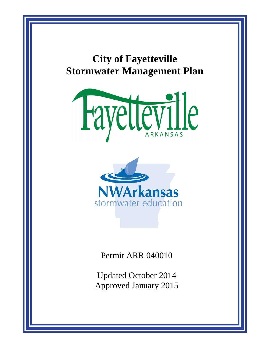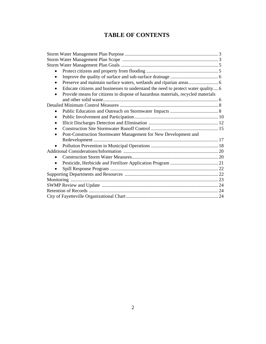# **TABLE OF CONTENTS**

| $\bullet$                                                                         |  |
|-----------------------------------------------------------------------------------|--|
| ٠                                                                                 |  |
| $\bullet$                                                                         |  |
| Educate citizens and businesses to understand the need to protect water quality 6 |  |
| Provide means for citizens to dispose of hazardous materials, recycled materials  |  |
|                                                                                   |  |
|                                                                                   |  |
| $\bullet$                                                                         |  |
| $\bullet$                                                                         |  |
| $\bullet$                                                                         |  |
| $\bullet$                                                                         |  |
| Post-Construction Stormwater Management for New Development and<br>$\bullet$      |  |
|                                                                                   |  |
|                                                                                   |  |
|                                                                                   |  |
| $\bullet$                                                                         |  |
| $\bullet$                                                                         |  |
|                                                                                   |  |
|                                                                                   |  |
|                                                                                   |  |
|                                                                                   |  |
|                                                                                   |  |
|                                                                                   |  |
|                                                                                   |  |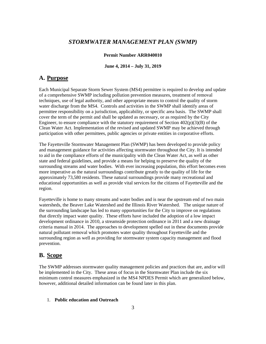# *STORMWATER MANAGEMENT PLAN (SWMP)*

## **Permit Number ARR040010**

### **June 4, 2014 – July 31, 2019**

# **A. Purpose**

Each Municipal Separate Storm Sewer System (MS4) permittee is required to develop and update of a comprehensive SWMP including pollution prevention measures, treatment of removal techniques, use of legal authority, and other appropriate means to control the quality of storm water discharge from the MS4. Controls and activities in the SWMP shall identify areas of permittee responsibility on a jurisdiction, applicability, or specific area basis. The SWMP shall cover the term of the permit and shall be updated as necessary, or as required by the City Engineer, to ensure compliance with the statutory requirement of Section  $402(p)(3)(B)$  of the Clean Water Act. Implementation of the revised and updated SWMP may be achieved through participation with other permittees, public agencies or private entities in corporative efforts.

The Fayetteville Stormwater Management Plan (SWMP) has been developed to provide policy and management guidance for activities affecting stormwater throughout the City. It is intended to aid in the compliance efforts of the municipality with the Clean Water Act, as well as other state and federal guidelines, and provide a means for helping to preserve the quality of the surrounding streams and water bodies. With ever increasing population, this effort becomes even more imperative as the natural surroundings contribute greatly to the quality of life for the approximately 73,580 residents. These natural surroundings provide many recreational and educational opportunities as well as provide vital services for the citizens of Fayetteville and the region.

Fayetteville is home to many streams and water bodies and is near the upstream end of two main watersheds, the Beaver Lake Watershed and the Illinois River Watershed. The unique nature of the surrounding landscape has led to many opportunities for the City to improve on regulations that directly impact water quality. These efforts have included the adoption of a low impact development ordinance in 2010, a streamside protection ordinance in 2011 and a new drainage criteria manual in 2014. The approaches to development spelled out in these documents provide natural pollutant removal which promotes water quality throughout Fayetteville and the surrounding region as well as providing for stormwater system capacity management and flood prevention.

# **B. Scope**

The SWMP addresses stormwater quality management policies and practices that are, and/or will be implemented in the City. These areas of focus in the Stormwater Plan include the six minimum control measures emphasized in the MS4 NPDES Permit which are generalized below, however, additional detailed information can be found later in this plan.

## 1. **Public education and Outreach**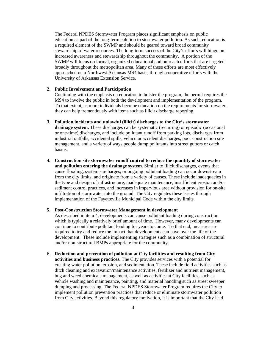The Federal NPDES Stormwater Program places significant emphasis on public education as part of the long-term solution to stormwater pollution. As such, education is a required element of the SWMP and should be geared toward broad community stewardship of water resources. The long-term success of the City's efforts will hinge on increased awareness and stewardship throughout the community. A portion of the SWMP will focus on formal, organized educational and outreach efforts that are targeted broadly throughout the metropolitan area. Many of these efforts are most effectively approached on a Northwest Arkansas MS4 basis, through cooperative efforts with the University of Arkansas Extension Service.

#### **2. Public Involvement and Participation**

Continuing with the emphasis on education to bolster the program, the permit requires the MS4 to involve the public in both the development and implementation of the program. To that extent, as more individuals become education on the requirements for stormwater, they can help tremendously with items such as illicit discharge reporting.

- **3. Pollution incidents and unlawful (illicit) discharges to the City's stormwater drainage system.** These discharges can be systematic (recurring) or episodic (occasional or one-time) discharges, and include pollutant runoff from parking lots, discharges from industrial outfalls, accidental spills, vehicular accident discharges, poor construction site management, and a variety of ways people dump pollutants into street gutters or catch basins.
- **4. Construction site stormwater runoff control to reduce the quantity of stormwater and pollution entering the drainage system.** Similar to illicit discharges, events that cause flooding, system surcharges, or ongoing pollutant loading can occur downstream from the city limits, and originate from a variety of causes. These include inadequacies in the type and design of infrastructure, inadequate maintenance, insufficient erosion and/or sediment control practices, and increases in impervious area without provision for on-site infiltration of stormwater into the ground. The City regulates these issues through implementation of the Fayetteville Municipal Code within the city limits.

#### **5. Post-Construction Stormwater Management in development**

As described in item 4, developments can cause pollutant loading during construction which is typically a relatively brief amount of time. However, many developments can continue to contribute pollutant loading for years to come. To that end, measures are required to try and reduce the impact that developments can have over the life of the development. These include implementing strategies such as a combination of structural and/or non-structural BMPs appropriate for the community.

6. **Reduction and prevention of pollution at City facilities and resulting from City activities and business practices.** The City provides services with a potential for creating water pollution, erosion, and sedimentation. These include field activities such as ditch cleaning and excavation/maintenance activities, fertilizer and nutrient management, bug and weed chemicals management, as well as activities at City facilities, such as vehicle washing and maintenance, painting, and material handling such as street sweeper dumping and processing. The Federal NPDES Stormwater Program requires the City to implement pollution prevention practices that reduce or eliminate stormwater pollution from City activities. Beyond this regulatory motivation, it is important that the City lead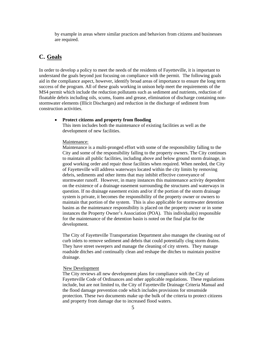by example in areas where similar practices and behaviors from citizens and businesses are required.

# **C. Goals**

In order to develop a policy to meet the needs of the residents of Fayetteville, it is important to understand the goals beyond just focusing on compliance with the permit. The following goals aid in the compliance aspect, however, identify broad areas of importance to ensure the long term success of the program. All of these goals working in unison help meet the requirements of the MS4 permit which include the reduction pollutants such as sediment and nutrients, reduction of floatable debris including oils, scums, foams and grease, elimination of discharge containing nonstormwater elements (Illicit Discharges) and reduction in the discharge of sediment from construction activities.

#### **Protect citizens and property from flooding**

This item includes both the maintenance of existing facilities as well as the development of new facilities.

#### Maintenance:

Maintenance is a multi-pronged effort with some of the responsibility falling to the City and some of the responsibility falling to the property owners. The City continues to maintain all public facilities, including above and below ground storm drainage, in good working order and repair those facilities when required. When needed, the City of Fayetteville will address waterways located within the city limits by removing debris, sediments and other items that may inhibit effective conveyance of stormwater runoff. However, in many instances this maintenance activity dependent on the existence of a drainage easement surrounding the structures and waterways in question. If no drainage easement exists and/or if the portion of the storm drainage system is private, it becomes the responsibility of the property owner or owners to maintain that portion of the system. This is also applicable for stormwater detention basins as the maintenance responsibility is placed on the property owner or in some instances the Property Owner's Association (POA). This individual(s) responsible for the maintenance of the detention basin is noted on the final plat for the development.

The City of Fayetteville Transportation Department also manages the cleaning out of curb inlets to remove sediment and debris that could potentially clog storm drains. They have street sweepers and manage the cleaning of city streets. They manage roadside ditches and continually clean and reshape the ditches to maintain positive drainage.

#### New Development

The City reviews all new development plans for compliance with the City of Fayetteville Code of Ordinances and other applicable regulations. These regulations include, but are not limited to, the City of Fayetteville Drainage Criteria Manual and the flood damage prevention code which includes provisions for streamside protection. These two documents make up the bulk of the criteria to protect citizens and property from damage due to increased flood waters.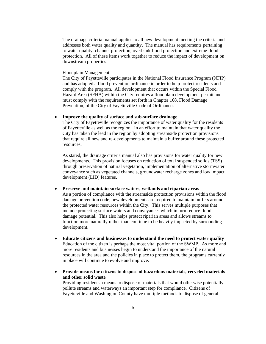The drainage criteria manual applies to all new development meeting the criteria and addresses both water quality and quantity. The manual has requirements pertaining to water quality, channel protection, overbank flood protection and extreme flood protection. All of these items work together to reduce the impact of development on downstream properties.

#### Floodplain Management

The City of Fayetteville participates in the National Flood Insurance Program (NFIP) and has adopted a flood prevention ordinance in order to help protect residents and comply with the program. All development that occurs within the Special Flood Hazard Area (SFHA) within the City requires a floodplain development permit and must comply with the requirements set forth in Chapter 168, Flood Damage Prevention, of the City of Fayetteville Code of Ordinances.

## **Improve the quality of surface and sub-surface drainage**

The City of Fayetteville recognizes the importance of water quality for the residents of Fayetteville as well as the region. In an effort to maintain that water quality the City has taken the lead in the region by adopting streamside protection provisions that require all new and re-developments to maintain a buffer around these protected resources.

As stated, the drainage criteria manual also has provisions for water quality for new developments. This provision focuses on reduction of total suspended solids (TSS) through preservation of natural vegetation, implementation of alternative stormwater conveyance such as vegetated channels, groundwater recharge zones and low impact development (LID) features.

#### **Preserve and maintain surface waters, wetlands and riparian areas**

As a portion of compliance with the streamside protection provisions within the flood damage prevention code, new developments are required to maintain buffers around the protected water resources within the City. This serves multiple purposes that include protecting surface waters and conveyances which in turn reduce flood damage potential. This also helps protect riparian areas and allows streams to function more naturally rather than continue to be heavily impacted by surrounding development.

- **Educate citizens and businesses to understand the need to protect water quality**  Education of the citizen is perhaps the most vital portion of the SWMP. As more and more residents and businesses begin to understand the importance of the natural resources in the area and the policies in place to protect them, the programs currently in place will continue to evolve and improve.
- **Provide means for citizens to dispose of hazardous materials, recycled materials and other solid waste**

Providing residents a means to dispose of materials that would otherwise potentially pollute streams and waterways an important step for compliance. Citizens of Fayetteville and Washington County have multiple methods to dispose of general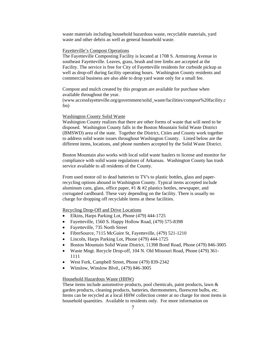waste materials including household hazardous waste, recyclable materials, yard waste and other debris as well as general household waste.

#### Fayetteville's Compost Operations

The Fayetteville Composting Facility is located at 1708 S. Armstrong Avenue in southeast Fayetteville. Leaves, grass, brush and tree limbs are accepted at the Facility. The service is free for City of Fayetteville residents for curbside pickup as well as drop-off during facility operating hours. Washington County residents and commercial business are also able to drop yard waste only for a small fee.

Compost and mulch created by this program are available for purchase when available throughout the year.

(www.accessfayetteville.org/government/solid\_waste/facilities/compost%20facility.c fm)

#### Washington County Solid Waste

Washington County realizes that there are other forms of waste that will need to be disposed. Washington County falls in the Boston Mountain Solid Waste District (BMSWD) area of the state. Together the District, Cities and County work together to address solid waste issues throughout Washington County. Listed below are the different items, locations, and phone numbers accepted by the Solid Waste District.

Boston Mountain also works with local solid waste haulers to license and monitor for compliance with solid waste regulations of Arkansas. Washington County has trash service available to all residents of the County.

From used motor oil to dead batteries to TV's to plastic bottles, glass and paperrecycling options abound in Washington County. Typical items accepted include aluminum cans, glass, office paper,  $\#1 \& \#2$  plastics bottles, newspaper, and corrugated cardboard. These vary depending on the facility. There is usually no charge for dropping off recyclable items at these facilities.

Recycling Drop-Off and Drive Locations

- Elkins, Harps Parking Lot, Phone (479) 444-1725
- Fayetteville, 1560 S. Happy Hollow Road, (479) 575-8398
- Fayetteville, 735 North Street
- FibreSource, 7115 McGuire St, Fayetteville, (479) 521-1210
- Lincoln, Harps Parking Lot, Phone (479) 444-1725
- Boston Mountain Solid Waste District, 11398 Bond Road, Phone (479) 846-3005
- Waste Mngt. Recycle Drop-off, 104 N. Old Missouri Road, Phone (479) 361- 1111
- West Fork, Campbell Street, Phone (479) 839-2342
- Winslow, Winslow Blvd., (479) 846-3005

#### Household Hazardous Waste (HHW)

These items include automotive products, pool chemicals, paint products, lawn & garden products, cleaning products, batteries, thermometers, florescent bulbs, etc. Items can be recycled at a local HHW collection center at no charge for most items in household quantities. Available to residents only. For more information on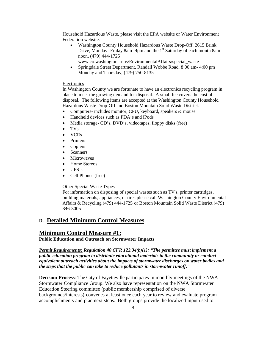Household Hazardous Waste, please visit the EPA website or Water Environment Federation website.

 Washington County Household Hazardous Waste Drop-Off, 2615 Brink Drive, Monday- Friday 8am- 4pm and the 1<sup>st</sup> Saturday of each month 8amnoon, (479) 444-1725

www.co.washington.ar.us/EnvironmentalAffairs/special\_waste

 Springdale Street Department, Randall Wobbe Road, 8:00 am- 4:00 pm Monday and Thursday, (479) 750-8135

## Electronics

In Washington County we are fortunate to have an electronics recycling program in place to meet the growing demand for disposal. A small fee covers the cost of disposal. The following items are accepted at the Washington County Household Hazardous Waste Drop-Off and Boston Mountain Solid Waste District.

- Computers- includes monitor, CPU, keyboard, speakers & mouse
- Handheld devices such as PDA's and iPods
- Media storage- CD's, DVD's, videotapes, floppy disks (free)
- TVs
- VCRs
- Printers
- Copiers
- Scanners
- Microwaves
- Home Stereos
- UPS's
- Cell Phones (free)

#### Other Special Waste Types

For information on disposing of special wastes such as TV's, printer cartridges, building materials, appliances, or tires please call Washington County Environmental Affairs & Recycling (479) 444-1725 or Boston Mountain Solid Waste District (479) 846-3005

## **D. Detailed Minimum Control Measures**

## **Minimum Control Measure #1:**

**Public Education and Outreach on Stormwater Impacts**

*Permit Requirements: Regulation 40 CFR 122.34(b)(1): "The permittee must implement a public education program to distribute educational materials to the community or conduct equivalent outreach activities about the impacts of stormwater discharges on water bodies and the steps that the public can take to reduce pollutants in stormwater runoff."* 

**Decision Process**: The City of Fayetteville participates in monthly meetings of the NWA Stormwater Compliance Group. We also have representation on the NWA Stormwater Education Steering committee (public membership comprised of diverse backgrounds/interests) convenes at least once each year to review and evaluate program accomplishments and plan next steps. Both groups provide the localized input used to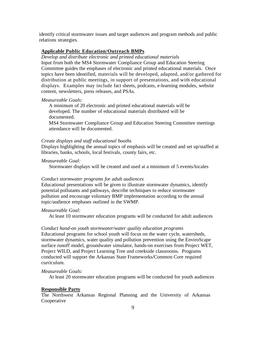identify critical stormwater issues and target audiences and program methods and public relations strategies.

## **Applicable Public Education/Outreach BMPs**

*Develop and distribute electronic and printed educational materials*

Input from both the MS4 Stormwater Compliance Group and Education Steering Committee guides the emphases of electronic and printed educational materials. Once topics have been identified, materials will be developed, adapted, and/or gathered for distribution at public meetings, in support of presentations, and with educational displays. Examples may include fact sheets, podcasts, e-learning modules, website content, newsletters, press releases, and PSAs.

## *Measureable Goals:*

A minimum of 20 electronic and printed educational materials will be developed. The number of educational materials distributed will be documented.

MS4 Stormwater Compliance Group and Education Steering Committee meetings attendance will be documented.

## *Create displays and staff educational booths*

Displays highlighting the annual topics of emphasis will be created and set up/staffed at libraries, banks, schools, local festivals, county fairs, etc.

## *Measureable Goal:*

Stormwater displays will be created and used at a minimum of 5 events/locales

## *Conduct stormwater programs for adult audiences*

Educational presentations will be given to illustrate stormwater dynamics, identify potential pollutants and pathways, describe techniques to reduce stormwater pollution and encourage voluntary BMP implementation according to the annual topic/audience emphases outlined in the SWMP.

## *Measureable Goal:*

At least 10 stormwater education programs will be conducted for adult audiences

#### *Conduct hand-on youth stormwater/water quality education programs*

Educational programs for school youth will focus on the water cycle, watersheds, stormwater dynamics, water quality and pollution prevention using the EnviroScape surface runoff model, groundwater simulator, hands-on exercises from Project WET, Project WILD, and Project Learning Tree and creekside classrooms. Programs conducted will support the Arkansas State Frameworks/Common Core required curriculum.

#### *Measureable Goals:*

At least 20 stormwater education programs will be conducted for youth audiences

## **Responsible Party**

The Northwest Arkansas Regional Planning and the University of Arkansas Cooperative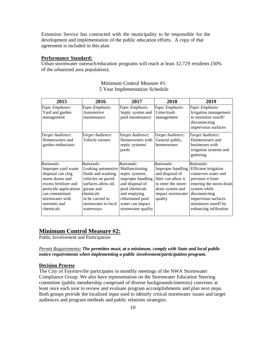Extension Service has contracted with the municipality to be responsible for the development and implementation of the public education efforts. A copy of that agreement is included in this plan.

## **Performance Standard:**

Urban stormwater outreach/education programs will reach at least 32,729 residents (50% of the urbanized area population).

| 2015                                                                                                                                                                                              | 2016                                                                                                                                                                                  | 2017                                                                                                                                                                                    | 2018                                                                                                                                                | 2019                                                                                                                                                                                                                      |
|---------------------------------------------------------------------------------------------------------------------------------------------------------------------------------------------------|---------------------------------------------------------------------------------------------------------------------------------------------------------------------------------------|-----------------------------------------------------------------------------------------------------------------------------------------------------------------------------------------|-----------------------------------------------------------------------------------------------------------------------------------------------------|---------------------------------------------------------------------------------------------------------------------------------------------------------------------------------------------------------------------------|
| Topic Emphases:<br>Yard and garden<br>management                                                                                                                                                  | Topic Emphasis:<br>Automotive<br>maintenance                                                                                                                                          | Topic Emphasis:<br>Septic system and<br>pool maintenance                                                                                                                                | Topic Emphasis:<br>Litter/trash<br>management                                                                                                       | Topic Emphasis:<br>Irrigation management<br>to minimize runoff/<br>disconnecting<br>impervious surfaces                                                                                                                   |
| Target Audience:<br>Homeowners and<br>garden enthusiasts                                                                                                                                          | Target Audience:<br>Vehicle owners                                                                                                                                                    | Target Audience:<br>Homeowners with<br>septic systems/<br>pools                                                                                                                         | Target Audience:<br>General public,<br>homeowners                                                                                                   | Target Audience:<br>Homeowners and<br>businesses with<br>irrigation systems and<br>guttering                                                                                                                              |
| Rationale:<br>Improper yard waste<br>disposal can clog<br>storm drains and<br>excess fertilizer and<br>pesticide applications<br>can contaminate<br>stormwater with<br>nutrients and<br>chemicals | Rationale:<br>Leaking automotive<br>fluids and washing<br>vehicles on paved<br>surfaces allow oil,<br>grease and<br>chemicals<br>to be carried in<br>stormwater to local<br>waterways | Rationale:<br>Malfunctioning<br>septic systems,<br>improper handling<br>and disposal of<br>pool chemicals<br>and emptying<br>chlorinated pool<br>water can impact<br>stormwater quality | Rationale:<br>Improper handling<br>and disposal of<br>litter can allow it<br>to enter the storm<br>drain system and<br>impact stormwater<br>quality | Rationale:<br><b>Efficient</b> irrigation<br>conserves water and<br>prevents it from<br>entering the storm drain<br>system while<br>disconnecting<br>impervious surfaces<br>minimizes runoff by<br>enhancing infiltration |

## Minimum Control Measure #1: 5 Year Implementation Schedule

# **Minimum Control Measure #2:**

Public Involvement and Participation

*Permit Requirements: The permittee must, at a minimum, comply with State and local public notice requirements when implementing a public involvement/participation program.* 

## **Decision Process**

The City of Fayetteville participates in monthly meetings of the NWA Stormwater Compliance Group. We also have representation on the Stormwater Education Steering committee (public membership comprised of diverse backgrounds/interests) convenes at least once each year to review and evaluate program accomplishments and plan next steps. Both groups provide the localized input used to identify critical stormwater issues and target audiences and program methods and public relations strategies.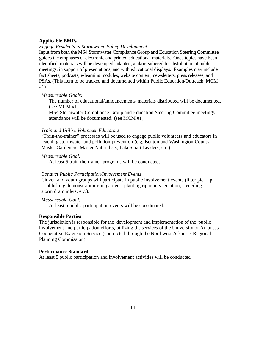## **Applicable BMPs**

## *Engage Residents in Stormwater Policy Development*

Input from both the MS4 Stormwater Compliance Group and Education Steering Committee guides the emphases of electronic and printed educational materials. Once topics have been identified, materials will be developed, adapted, and/or gathered for distribution at public meetings, in support of presentations, and with educational displays. Examples may include fact sheets, podcasts, e-learning modules, website content, newsletters, press releases, and PSAs. (This item to be tracked and documented within Public Education/Outreach, MCM #1)

## *Measureable Goals:*

The number of educational/announcements materials distributed will be documented. (see MCM  $#1$ )

MS4 Stormwater Compliance Group and Education Steering Committee meetings attendance will be documented. (see MCM #1)

## *Train and Utilize Volunteer Educators*

"Train-the-trainer" processes will be used to engage public volunteers and educators in teaching stormwater and pollution prevention (e.g. Benton and Washington County Master Gardeners, Master Naturalists, LakeSmart Leaders, etc.)

### *Measureable Goal:*

At least 5 train-the-trainer programs will be conducted.

#### C*onduct Public Participation/Involvement Events*

Citizen and youth groups will participate in public involvement events (litter pick up, establishing demonstration rain gardens, planting riparian vegetation, stenciling storm drain inlets, etc.).

*Measureable Goal:*

At least 5 public participation events will be coordinated.

## **Responsible Parties**

The jurisdiction is responsible for the development and implementation of the public involvement and participation efforts, utilizing the services of the University of Arkansas Cooperative Extension Service (contracted through the Northwest Arkansas Regional Planning Commission).

#### **Performance Standard**

At least 5 public participation and involvement activities will be conducted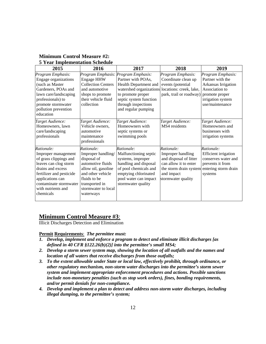| 2015                                                                                                                                                                                                                   | 2016                                                                                                                                                                                   | 2017                                                                                                                                                                                                             | 2018                                                                                                                                                                  | 2019                                                                                                                                     |
|------------------------------------------------------------------------------------------------------------------------------------------------------------------------------------------------------------------------|----------------------------------------------------------------------------------------------------------------------------------------------------------------------------------------|------------------------------------------------------------------------------------------------------------------------------------------------------------------------------------------------------------------|-----------------------------------------------------------------------------------------------------------------------------------------------------------------------|------------------------------------------------------------------------------------------------------------------------------------------|
| Program Emphasis:<br>Engage organizations<br>(such as Master<br>Gardeners, POAs and<br>lawn care/landscaping<br>professionals) to<br>promote stormwater<br>pollution prevention<br>education                           | Program Emphasis:<br><b>Engage HHW</b><br><b>Collection Centers</b><br>and automotive<br>shops to promote<br>their vehicle fluid<br>collection                                         | Program Emphasis:<br>Partner with POAs,<br>Health Department and<br>watershed organizations locations: creek, lake,<br>to promote proper<br>septic system function<br>through inspections<br>and regular pumping | Program Emphasis:<br>Coordinate clean up<br>events (potential<br>park, trail or roadway)                                                                              | Program Emphasis:<br>Partner with the<br>Arkansas Irrigation<br>Association to<br>promote proper<br>irrigation system<br>use/maintenance |
| Target Audience:<br>Homeowners, lawn<br>care/landscaping<br>professionals                                                                                                                                              | Target Audience:<br>Vehicle owners,<br>automotive<br>maintenance<br>professionals                                                                                                      | Target Audience:<br>Homeowners with<br>septic systems or<br>swimming pools                                                                                                                                       | Target Audience:<br>MS4 residents                                                                                                                                     | Target Audience:<br>Homeowners and<br>businesses with<br>irrigation systems                                                              |
| Rationale:<br>Improper management<br>of grass clippings and<br>leaves can clog storm<br>drains and excess<br>fertilizer and pesticide<br>applications can<br>contaminate stormwater<br>with nutrients and<br>chemicals | Rationale:<br>Improper handling/<br>disposal of<br>automotive fluids<br>allow oil, gasoline<br>and other vehicle<br>fluids to be<br>transported in<br>stormwater to local<br>waterways | Rationale:<br>Malfunctioning septic<br>systems, improper<br>handling and disposal<br>of pool chemicals and<br>emptying chlorinated<br>pool water can impact<br>stormwater quality                                | Rationale:<br>Improper handling<br>and disposal of litter<br>can allow it to enter<br>the storm drain system entering storm drain<br>and impact<br>stormwater quality | Rationale:<br><b>Efficient</b> irrigation<br>conserves water and<br>prevents it from<br>systems                                          |

## **Minimum Control Measure #2: 5 Year Implementation Schedule**

# **Minimum Control Measure #3**:

Illicit Discharges Detection and Elimination

## **Permit Requirements**: *The permittee must:*

- *1. Develop, implement and enforce a program to detect and eliminate illicit discharges [as defined in 40 CFR §122.26(b)(2)] into the permittee's small MS4;*
- *2. Develop a storm sewer system map, showing the location of all outfalls and the names and location of all waters that receive discharges from those outfalls;*
- *3. To the extent allowable under State or local law, effectively prohibit, through ordinance, or other regulatory mechanism, non-storm water discharges into the permittee's storm sewer system and implement appropriate enforcement procedures and actions. Possible sanctions include non-monetary penalties (such as stop work orders), fines, bonding requirements, and/or permit denials for non-compliance.*
- *4. Develop and implement a plan to detect and address non-storm water discharges, including illegal dumping, to the permittee's system;*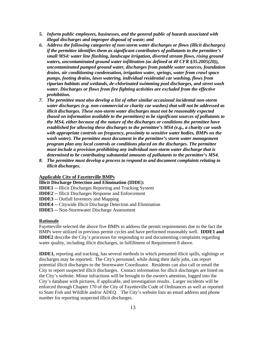- *5. Inform public employees, businesses, and the general public of hazards associated with illegal discharges and improper disposal of waste; and*
- *6. Address the following categories of non-storm water discharges or flows (illicit discharges) if the permittee identifies them as significant contributors of pollutants to the permittee's small MS4: water line flushing, landscape irrigation, diverted stream flows, rising ground waters, uncontaminated ground water infiltration (as defined at 40 CFR §35.2005(20)), uncontaminated pumped ground water, discharges from potable water sources, foundation drains, air conditioning condensation, irrigation water, springs, water from crawl space pumps, footing drains, lawn watering, individual residential car washing, flows from riparian habitats and wetlands, de-chlorinated swimming pool discharges, and street wash water. Discharges or flows from fire fighting activities are excluded from the effective prohibition.*
- *7. The permittee must also develop a list of other similar occasional incidental non-storm water discharges (e.g. non-commercial or charity car washes) that will not be addressed as illicit discharges. These non-storm water discharges must not be reasonably expected (based on information available to the permittees) to be significant sources of pollutants to the MS4, either because of the nature of the discharges or conditions the permittee have established for allowing these discharges to the permittee's MS4 (e.g., a charity car wash with appropriate controls on frequency, proximity to sensitive water bodies, BMPs on the*  wash water). The permittee must document in the permittee's storm water management *program plan any local controls or conditions placed on the discharges. The permittee must include a provision prohibiting any individual non-storm water discharge that is determined to be contributing substantial amounts of pollutants to the permittee's MS4.*
- *8. The permittee must develop a process to respond to and document complaints relating to illicit discharges.*

## **Applicable City of Fayetteville BMPs**

**Illicit Discharge Detection and Elimination (IDDE):** 

**IDDE1 --** Illicit Discharges Reporting and Tracking System

**IDDE2 --** Illicit Discharges Response and Enforcement

**IDDE3 --** Outfall Inventory and Mapping

**IDDE4 --** Citywide Illicit Discharge Detection and Elimination

**IDDE5 --** Non-Stormwater Discharge Assessment

#### **Rationale**

Fayetteville selected the above five BMPs to address the permit requirements due to the fact the BMPs were utilized in previous permit cycles and have performed reasonably well. **IDDE1 and IDDE2** describe the City's processes for responding to and documenting complaints regarding water quality, including illicit discharges, in fulfillment of Requirement 8 above.

**IDDE1,** reporting and tracking, has several methods in which presumed illicit spills, sightings or discharges may be reported. The City's personnel, while doing their daily jobs, can report potential illicit discharges to the Stormwater Coordinator. Residents can also call or email the City to report suspected illicit discharges. Contact information for illicit discharges are listed on the City's website. Minor infractions will be brought to the owner's attention, logged into the City's database with pictures, if applicable, and investigation results. Larger incidents will be enforced through Chapter 170 of the City of Fayetteville Code of Ordinances as well as reported to State Fish and Wildlife and/or ADEQ. The City's website lists an email address and phone number for reporting suspected illicit discharges.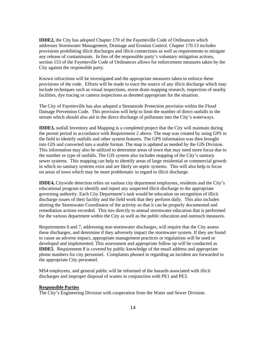**IDDE2,** the City has adopted Chapter 170 of the Fayetteville Code of Ordinances which addresses Stormwater Management, Drainage and Erosion Control. Chapter 170.13 includes provisions prohibiting illicit discharges and illicit connections as well as requirements to mitigate any release of contaminants. In lieu of the responsible party's voluntary mitigation actions, section 153 of the Fayetteville Code of Ordinances allows for enforcement measures taken by the City against the responsible party.

Known infractions will be investigated and the appropriate measures taken to enforce these provisions of the code. Efforts will be made to trace the source of any illicit discharge which may include techniques such as visual inspections, storm drain mapping research, inspection of nearby facilities, dye tracing or camera inspections as deemed appropriate for the situation.

The City of Fayetteville has also adopted a Streamside Protection provision within the Flood Damage Prevention Code. This provision will help to limit the number of direct outfalls to the stream which should also aid in the direct discharge of pollutants into the City's waterways.

**IDDE3,** outfall Inventory and Mapping is a completed project that the City will maintain during the permit period in accordance with Requirement 2 above. The map was created by using GPS in the field to identify outfalls and other system features. The GPS information was then brought into GIS and converted into a usable format. The map is updated as needed by the GIS Division. This information may also be utilized to determine areas of town that may need more focus due to the number or type of outfalls. The GIS system also includes mapping of the City's sanitary sewer systems. This mapping can help to identify areas of large residential or commercial growth in which no sanitary systems exist and are likely on septic systems. This will also help to focus on areas of town which may be more problematic in regard to illicit discharge.

**IDDE4,** Citywide detection relies on various city department employees, residents and the City's educational program to identify and report any suspected illicit discharge to the appropriate governing authority. Each City Department's task would be education on recognition of illicit discharge issues of their facility and the field work that they perform daily. This also includes alerting the Stormwater Coordinator of the activity so that it can be properly documented and remediation actions recorded. This ties directly to annual stormwater education that is performed for the various department within the City as well as the public education and outreach measures.

Requirements 6 and 7, addressing non-stormwater discharges, will require that the City assess these discharges, and determine if they adversely impact the stormwater system. If they are found to cause an adverse impact, appropriate management practices or regulations will be used or developed and implemented. This assessment and appropriate follow up will be conducted as **IDDE5**. Requirement 8 is covered by public knowledge of the email address and appropriate phone numbers for city personnel. Complaints phoned in regarding an incident are forwarded to the appropriate City personnel.

MS4 employees, and general public will be informed of the hazards associated with illicit discharges and improper disposal of wastes in conjunction with PE1 and PE3.

## **Responsible Parties**

The City's Engineering Division with cooperation from the Water and Sewer Division.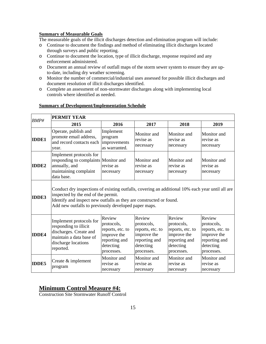## **Summary of Measurable Goals**

The measurable goals of the illicit discharges detection and elimination program will include:

- o Continue to document the findings and method of eliminating illicit discharges located through surveys and public reporting.
- o Continue to document the location, type of illicit discharge, response required and any enforcement administered.
- o Document an annual review of outfall maps of the storm sewer system to ensure they are upto-date, including dry weather screening.
- o Monitor the number of commercial/industrial uses assessed for possible illicit discharges and document resolution of illicit discharges identified.
- o Complete an assessment of non-stormwater discharges along with implementing local controls where identified as needed.

| BMP#         | <b>PERMIT YEAR</b>                                                                                                                                                                                                                                                     |                                                                                                     |                                                                                                     |                                                                                                     |                                                                                                     |  |  |
|--------------|------------------------------------------------------------------------------------------------------------------------------------------------------------------------------------------------------------------------------------------------------------------------|-----------------------------------------------------------------------------------------------------|-----------------------------------------------------------------------------------------------------|-----------------------------------------------------------------------------------------------------|-----------------------------------------------------------------------------------------------------|--|--|
|              | 2015                                                                                                                                                                                                                                                                   | 2016                                                                                                | 2017                                                                                                | 2018                                                                                                | 2019                                                                                                |  |  |
| <b>IDDE1</b> | Operate, publish and<br>promote email address,<br>and record contacts each<br>year.                                                                                                                                                                                    | Implement<br>program<br>improvements<br>as warranted.                                               | Monitor and<br>revise as<br>necessary                                                               | Monitor and<br>revise as<br>necessary                                                               | Monitor and<br>revise as<br>necessary                                                               |  |  |
| <b>IDDE2</b> | Implement protocols for<br>responding to complaints Monitor and<br>annually, and<br>maintaining complaint<br>data base.                                                                                                                                                | revise as<br>necessary                                                                              | Monitor and<br>revise as<br>necessary                                                               | Monitor and<br>revise as<br>necessary                                                               | Monitor and<br>revise as<br>necessary                                                               |  |  |
| <b>IDDE3</b> | Conduct dry inspections of existing outfalls, covering an additional 10% each year until all are<br>inspected by the end of the permit.<br>Identify and inspect new outfalls as they are constructed or found.<br>Add new outfalls to previously developed paper maps. |                                                                                                     |                                                                                                     |                                                                                                     |                                                                                                     |  |  |
| <b>IDDE4</b> | Implement protocols for<br>responding to illicit<br>discharges. Create and<br>maintain a data base of<br>discharge locations<br>reported.                                                                                                                              | Review<br>protocols,<br>reports, etc. to<br>improve the<br>reporting and<br>detecting<br>processes. | Review<br>protocols,<br>reports, etc. to<br>improve the<br>reporting and<br>detecting<br>processes. | Review<br>protocols,<br>reports, etc. to<br>improve the<br>reporting and<br>detecting<br>processes. | Review<br>protocols,<br>reports, etc. to<br>improve the<br>reporting and<br>detecting<br>processes. |  |  |
| <b>IDDE5</b> | Create & implement<br>program                                                                                                                                                                                                                                          | Monitor and<br>revise as<br>necessary                                                               | Monitor and<br>revise as<br>necessary                                                               | Monitor and<br>revise as<br>necessary                                                               | Monitor and<br>revise as<br>necessary                                                               |  |  |

## **Summary of Development/Implementation Schedule**

# **Minimum Control Measure #4:**

Construction Site Stormwater Runoff Control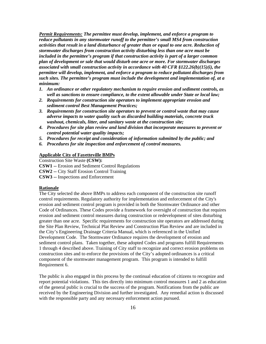*Permit Requirements: The permittee must develop, implement, and enforce a program to reduce pollutants in any stormwater runoff to the permittee's small MS4 from construction activities that result in a land disturbance of greater than or equal to one acre. Reduction of stormwater discharges from construction activity disturbing less than one acre must be included in the permittee's program if that construction activity is part of a larger common plan of development or sale that would disturb one acre or more. For stormwater discharges associated with small construction activity in accordance with 40 CFR §122.26(b)(15)(i), the permittee will develop, implement, and enforce a program to reduce pollutant discharges from such sites. The permittee's program must include the development and implementation of, at a minimum:* 

- *1. An ordinance or other regulatory mechanism to require erosion and sediment controls, as well as sanctions to ensure compliance, to the extent allowable under State or local law;*
- *2. Requirements for construction site operators to implement appropriate erosion and sediment control Best Management Practices;*
- *3. Requirements for construction site operators to prevent or control waste that may cause adverse impacts to water quality such as discarded building materials, concrete truck washout, chemicals, litter, and sanitary waste at the construction site;*
- *4. Procedures for site plan review and land division that incorporate measures to prevent or control potential water quality impacts;*
- *5. Procedures for receipt and consideration of information submitted by the public; and*
- *6. Procedures for site inspection and enforcement of control measures.*

## **Applicable City of Fayetteville BMPs**

Construction Site Waste **(CSW): CSW1 --** Erosion and Sediment Control Regulations **CSW2 --** City Staff Erosion Control Training **CSW3 --** Inspections and Enforcement

#### **Rationale**

The City selected the above BMPs to address each component of the construction site runoff control requirements. Regulatory authority for implementation and enforcement of the City's erosion and sediment control program is provided in both the Stormwater Ordinance and other Code of Ordinances. These Codes provide a framework for oversight of construction that requires erosion and sediment control measures during construction or redevelopment of sites disturbing greater than one acre. Specific requirements for construction site operators are addressed during the Site Plan Review, Technical Plat Review and Construction Plan Review and are included in the City's Engineering Drainage Criteria Manual, which is referenced in the Unified Development Code. The Stormwater Ordinance requires the development of erosion and sediment control plans. Taken together, these adopted Codes and programs fulfill Requirements 1 through 4 described above. Training of City staff to recognize and correct erosion problems on construction sites and to enforce the provisions of the City's adopted ordinances is a critical component of the stormwater management program. This program is intended to fulfill Requirement 6.

The public is also engaged in this process by the continual education of citizens to recognize and report potential violations. This ties directly into minimum control measures 1 and 2 as education of the general public is crucial to the success of the program. Notifications from the public are received by the Engineering Division and further investigated. Any remedial action is discussed with the responsible party and any necessary enforcement action pursued.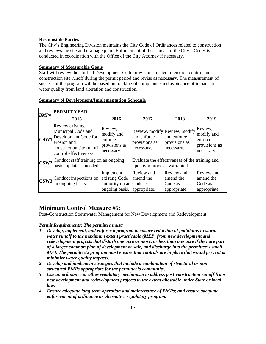## **Responsible Parties**

The City's Engineering Division maintains the City Code of Ordinances related to construction and reviews the site and drainage plan. Enforcement of these areas of the City's Codes is conducted in coordination with the Office of the City Attorney if necessary.

## **Summary of Measurable Goals**

Staff will review the Unified Development Code provisions related to erosion control and construction site runoff during the permit period and revise as necessary. The measurement of success of the program will be based on tracking of compliance and avoidance of impacts to water quality from land alteration and construction.

| <b>BMP#</b>              | <b>PERMIT YEAR</b>                                                                                                                 |                                                                                      |                                                                                |                                                    |                                                                 |  |
|--------------------------|------------------------------------------------------------------------------------------------------------------------------------|--------------------------------------------------------------------------------------|--------------------------------------------------------------------------------|----------------------------------------------------|-----------------------------------------------------------------|--|
|                          | 2015                                                                                                                               | 2016                                                                                 | 2017                                                                           | 2018                                               | 2019                                                            |  |
| CSW1                     | Review existing<br>Municipal Code and<br>Development Code for<br>erosion and<br>construction site runoff<br>control effectiveness. | Review,<br>modify and<br>enforce<br>provisions as<br>necessary.                      | Review, modify Review, modify<br>and enforce<br>provisions as<br>necessary.    | and enforce<br>provisions as<br>necessary.         | Review,<br>modify and<br>enforce<br>provisions as<br>necessary. |  |
|                          | CSW2 <sup>Conduct</sup> staff training on an ongoing<br>basis; update as needed.                                                   |                                                                                      | Evaluate the effectiveness of the training and<br>update/improve as warranted. |                                                    |                                                                 |  |
| $\overline{\text{CSW3}}$ | Conduct inspections on<br>an ongoing basis.                                                                                        | Implement<br>existing Code<br>authority on an Code as<br>ongoing basis. appropriate. | Review and<br>amend the                                                        | Review and<br>amend the<br>Code as<br>appropriate. | <b>Review</b> and<br>amend the<br>Code as<br>appropriate        |  |

## **Summary of Development/Implementation Schedule**

# **Minimum Control Measure #5:**

Post-Construction Stormwater Management for New Development and Redevelopment

## *Permit Requirements: The permittee must:*

- *1. Develop, implement, and enforce a program to ensure reduction of pollutants in storm water runoff to the maximum extent practicable (MEP) from new development and redevelopment projects that disturb one acre or more, or less than one acre if they are part of a larger common plan of development or sale, and discharge into the permittee's small MS4. The permittee's program must ensure that controls are in place that would prevent or minimize water quality impacts.*
- *2. Develop and implement strategies that include a combination of structural or nonstructural BMPs appropriate for the permittee's community.*
- *3. Use an ordinance or other regulatory mechanism to address post-construction runoff from new development and redevelopment projects to the extent allowable under State or local law.*
- *4. Ensure adequate long-term operation and maintenance of BMPs; and ensure adequate enforcement of ordinance or alternative regulatory program.*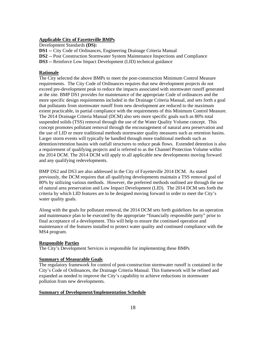## **Applicable City of Fayetteville BMPs**

Development Standards **(DS):** 

**DS1 --** City Code of Ordinances, Engineering Drainage Criteria Manual

**DS2** -- Post Construction Stormwater System Maintenance Inspections and Compliance

**DS3 --** Reinforce Low Impact Development (LID) technical guidance

#### **Rationale**

The City selected the above BMPs to meet the post-construction Minimum Control Measure requirements. The City Code of Ordinances requires that new development projects do not exceed pre-development peak to reduce the impacts associated with stormwater runoff generated at the site. BMP DS1 provides for maintenance of the appropriate Code of ordinances and the more specific design requirements included in the Drainage Criteria Manual, and sets forth a goal that pollutants from stormwater runoff from new development are reduced to the maximum extent practicable, in partial compliance with the requirements of this Minimum Control Measure. The 2014 Drainage Criteria Manual (DCM) also sets more specific goals such as 80% total suspended solids (TSS) removal through the use of the Water Quality Volume concept. This concept promotes pollutant removal through the encouragement of natural area preservation and the use of LID or more traditional methods stormwater quality measures such as retention basins. Larger storm events will typically be handled through more traditional methods such as detention/retention basins with outfall structures to reduce peak flows. Extended detention is also a requirement of qualifying projects and is referred to as the Channel Protection Volume within the 2014 DCM. The 2014 DCM will apply to all applicable new developments moving forward and any qualifying redevelopments.

BMP DS2 and DS3 are also addressed in the City of Fayetteville 2014 DCM. As stated previously, the DCM requires that all qualifying developments maintain a TSS removal goal of 80% by utilizing various methods. However, the preferred methods outlined are through the use of natural area preservation and Low Impact Development (LID). The 2014 DCM sets forth the criteria by which LID features are to be designed moving forward in order to meet the City's water quality goals.

Along with the goals for pollutant removal, the 2014 DCM sets forth guidelines for an operation and maintenance plan to be executed by the appropriate "financially responsible party" prior to final acceptance of a development. This will help to ensure the continued operation and maintenance of the features installed to protect water quality and continued compliance with the MS4 program.

#### **Responsible Parties**

The City's Development Services is responsible for implementing these BMPs

## **Summary of Measurable Goals**

The regulatory framework for control of post-construction stormwater runoff is contained in the City's Code of Ordinances, the Drainage Criteria Manual. This framework will be refined and expanded as needed to improve the City's capability to achieve reductions in stormwater pollution from new developments.

#### **Summary of Development/Implementation Schedule**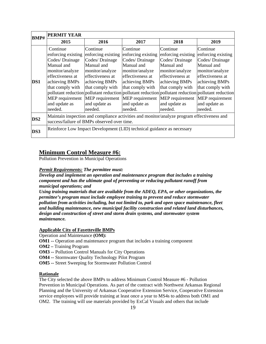| <b>BMP#</b>     | <b>PERMIT YEAR</b>                                                                                                                         |                                                                                                                                        |                                                                                                                                        |                                                                                                                                               |                                                                                                                                                                                                                                               |
|-----------------|--------------------------------------------------------------------------------------------------------------------------------------------|----------------------------------------------------------------------------------------------------------------------------------------|----------------------------------------------------------------------------------------------------------------------------------------|-----------------------------------------------------------------------------------------------------------------------------------------------|-----------------------------------------------------------------------------------------------------------------------------------------------------------------------------------------------------------------------------------------------|
|                 | 2015                                                                                                                                       | 2016                                                                                                                                   | 2017                                                                                                                                   | 2018                                                                                                                                          | 2019                                                                                                                                                                                                                                          |
|                 | Continue<br>enforcing existing                                                                                                             | Continue<br>enforcing existing                                                                                                         | Continue<br>enforcing existing                                                                                                         | Continue<br>enforcing existing                                                                                                                | Continue<br>enforcing existing                                                                                                                                                                                                                |
|                 | Codes/ Drainage                                                                                                                            | Codes/ Drainage                                                                                                                        | Codes/ Drainage                                                                                                                        | Codes/ Drainage                                                                                                                               | Codes/ Drainage                                                                                                                                                                                                                               |
| DS1             | Manual and<br>monitor/analyze<br>effectiveness at<br>achieving BMPs<br>that comply with<br>MEP requirement<br>and update as<br>needed.     | Manual and<br>monitor/analyze<br>effectiveness at<br>achieving BMPs<br>that comply with<br>MEP requirement<br>and update as<br>needed. | Manual and<br>monitor/analyze<br>effectiveness at<br>achieving BMPs<br>that comply with<br>MEP requirement<br>and update as<br>needed. | Manual and<br>monitor/analyze<br>effectiveness at<br>achieving BMPs<br>that comply with<br><b>MEP</b> requirement<br>and update as<br>needed. | Manual and<br>monitor/analyze<br>effectiveness at<br>achieving BMPs<br>that comply with<br>pollutant reduction pollutant reduction pollutant reduction pollutant reduction pollutant reduction<br>MEP requirement<br>and update as<br>needed. |
| DS <sub>2</sub> | Maintain inspection and compliance activities and monitor/analyze program effectiveness and<br>success/failure of BMPs observed over time. |                                                                                                                                        |                                                                                                                                        |                                                                                                                                               |                                                                                                                                                                                                                                               |
| DS3             | Reinforce Low Impact Development (LID) technical guidance as necessary                                                                     |                                                                                                                                        |                                                                                                                                        |                                                                                                                                               |                                                                                                                                                                                                                                               |

# **Minimum Control Measure #6:**

Pollution Prevention in Municipal Operations

## *Permit Requirements: The permittee must:*

*Develop and implement an operation and maintenance program that includes a training component and has the ultimate goal of preventing or reducing pollutant runoff from municipal operations; and* 

*Using training materials that are available from the ADEQ, EPA, or other organizations, the permittee's program must include employee training to prevent and reduce stormwater pollution from activities including, but not limited to, park and open space maintenance, fleet and building maintenance, new municipal facility construction and related land disturbances, design and construction of street and storm drain systems, and stormwater system maintenance.* 

## **Applicable City of Fayetteville BMPs**

Operation and Maintenance **(OM):** 

- **OM1 --** Operation and maintenance program that includes a training component
- **OM2** Training Program
- **OM3 --** Pollution Control Manuals for City Operations
- **OM4 --** Stormwater Quality Technology Pilot Program
- **OM5 --** Street Sweeping for Stormwater Pollution Control

## **Rationale**

The City selected the above BMPs to address Minimum Control Measure #6 - Pollution Prevention in Municipal Operations. As part of the contract with Northwest Arkansas Regional Planning and the University of Arkansas Cooperative Extension Service, Cooperative Extension service employees will provide training at least once a year to MS4s to address both OM1 and OM2. The training will use materials provided by ExCal Visuals and others that include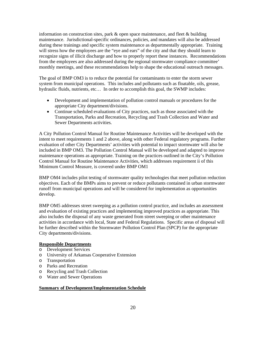information on construction sites, park & open space maintenance, and fleet & building maintenance. Jurisdictional-specific ordinances, policies, and mandates will also be addressed during these trainings and specific system maintenance as departmentally appropriate. Training will stress how the employees are the "eye and ears" of the city and that they should learn to recognize signs of illicit discharge and how to properly report these instances. Recommendations from the employees are also addressed during the regional stormwater compliance committee' monthly meetings, and these recommendations help to shape the educational outreach messages.

The goal of BMP OM3 is to reduce the potential for contaminants to enter the storm sewer system from municipal operations. This includes and pollutants such as floatable, oils, grease, hydraulic fluids, nutrients, etc… In order to accomplish this goal, the SWMP includes:

- Development and implementation of pollution control manuals or procedures for the appropriate City department/divisions.
- Continue scheduled evaluations of City practices, such as those associated with the Transportation, Parks and Recreation, Recycling and Trash Collection and Water and Sewer Departments activities.

A City Pollution Control Manual for Routine Maintenance Activities will be developed with the intent to meet requirements 1 and 2 above, along with other Federal regulatory programs. Further evaluation of other City Departments' activities with potential to impact stormwater will also be included in BMP OM3. The Pollution Control Manual will be developed and adapted to improve maintenance operations as appropriate. Training on the practices outlined in the City's Pollution Control Manual for Routine Maintenance Activities, which addresses requirement ii of this Minimum Control Measure, is covered under BMP OM1

BMP OM4 includes pilot testing of stormwater quality technologies that meet pollution reduction objectives. Each of the BMPs aims to prevent or reduce pollutants contained in urban stormwater runoff from municipal operations and will be considered for implementation as opportunities develop.

BMP OM5 addresses street sweeping as a pollution control practice, and includes an assessment and evaluation of existing practices and implementing improved practices as appropriate. This also includes the disposal of any waste generated from street sweeping or other maintenance activities in accordance with local, State and Federal Regulations. Specific areas of disposal will be further described within the Stormwater Pollution Control Plan (SPCP) for the appropriate City departments/divisions.

## **Responsible Departments**

- o Development Services
- o University of Arkansas Cooperative Extension
- o Transportation
- o Parks and Recreation
- o Recycling and Trash Collection
- o Water and Sewer Operations

## **Summary of Development/Implementation Schedule**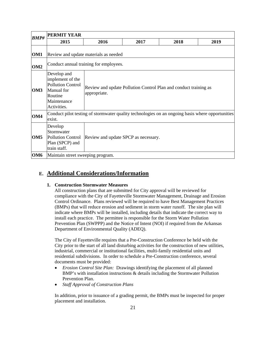| <b>BMP#</b>     | PERMIT YEAR                                                                                                        |                                                                                  |      |      |      |  |  |  |
|-----------------|--------------------------------------------------------------------------------------------------------------------|----------------------------------------------------------------------------------|------|------|------|--|--|--|
|                 | 2015                                                                                                               | 2016                                                                             | 2017 | 2018 | 2019 |  |  |  |
| OM <sub>1</sub> | Review and update materials as needed                                                                              |                                                                                  |      |      |      |  |  |  |
| OM <sub>2</sub> | Conduct annual training for employees.                                                                             |                                                                                  |      |      |      |  |  |  |
| OM <sub>3</sub> | Develop and<br>implement of the<br><b>Pollution Control</b><br>Manual for<br>Routine<br>Maintenance<br>Activities. | Review and update Pollution Control Plan and conduct training as<br>appropriate. |      |      |      |  |  |  |
| OM <sub>4</sub> | Conduct pilot testing of stormwater quality technologies on an ongoing basis where opportunities<br>exist.         |                                                                                  |      |      |      |  |  |  |
| OM <sub>5</sub> | Develop<br>Stormwater<br><b>Pollution Control</b><br>Plan (SPCP) and<br>train staff.                               | Review and update SPCP as necessary.                                             |      |      |      |  |  |  |
| OM <sub>6</sub> | Maintain street sweeping program.                                                                                  |                                                                                  |      |      |      |  |  |  |

# **E. Additional Considerations/Information**

## **1. Construction Stormwater Measures**

All construction plans that are submitted for City approval will be reviewed for compliance with the City of Fayetteville Stormwater Management, Drainage and Erosion Control Ordinance. Plans reviewed will be required to have Best Management Practices (BMPs) that will reduce erosion and sediment in storm water runoff. The site plan will indicate where BMPs will be installed, including details that indicate the correct way to install each practice. The permittee is responsible for the Storm Water Pollution Prevention Plan (SWPPP) and the Notice of Intent (NOI) if required from the Arkansas Department of Environmental Quality (ADEQ).

The City of Fayetteville requires that a Pre-Construction Conference be held with the City prior to the start of all land disturbing activities for the construction of new utilities, industrial, commercial or institutional facilities, multi-family residential units and residential subdivisions. In order to schedule a Pre-Construction conference, several documents must be provided:

- *Erosion Control Site Plan:* Drawings identifying the placement of all planned BMP's with installation instructions & details including the Stormwater Pollution Prevention Plan.
- *Staff Approval of Construction Plans*

In addition, prior to issuance of a grading permit, the BMPs must be inspected for proper placement and installation.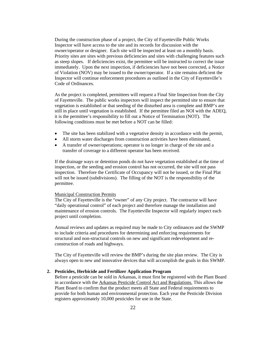During the construction phase of a project, the City of Fayetteville Public Works Inspector will have access to the site and its records for discussion with the owner/operator or designer. Each site will be inspected at least on a monthly basis. Priority sites are sites with previous deficiencies and sites with challenging features such as steep slopes. If deficiencies exist, the permittee will be instructed to correct the issue immediately. Upon the next inspection, if deficiencies have not been corrected, a Notice of Violation (NOV) may be issued to the owner/operator. If a site remains deficient the Inspector will continue enforcement procedures as outlined in the City of Fayetteville's Code of Ordinances.

As the project is completed, permittees will request a Final Site Inspection from the City of Fayetteville. The public works inspectors will inspect the permitted site to ensure that vegetation is established or that seeding of the disturbed area is complete and BMP's are still in place until vegetation is established. If the permittee filed an NOI with the ADEQ, it is the permittee's responsibility to fill out a Notice of Termination (NOT). The following conditions must be met before a NOT can be filled:

- The site has been stabilized with a vegetative density in accordance with the permit,
- All storm water discharges from construction activities have been eliminated,
- A transfer of owner/operations; operator is no longer in charge of the site and a transfer of coverage to a different operator has been received.

If the drainage ways or detention ponds do not have vegetation established at the time of inspection, or the seeding and erosion control has not occurred, the site will not pass inspection. Therefore the Certificate of Occupancy will not be issued, or the Final Plat will not be issued (subdivisions). The filling of the NOT is the responsibility of the permittee.

#### Municipal Construction Permits

The City of Fayetteville is the "owner" of any City project. The contractor will have "daily operational control" of each project and therefore manage the installation and maintenance of erosion controls. The Fayetteville Inspector will regularly inspect each project until completion.

Annual reviews and updates as required may be made to City ordinances and the SWMP to include criteria and procedures for determining and enforcing requirements for structural and non-structural controls on new and significant redevelopment and reconstruction of roads and highways.

The City of Fayetteville will review the BMP's during the site plan review. The City is always open to new and innovative devices that will accomplish the goals in this SWMP.

#### **2. Pesticides, Herbicide and Fertilizer Application Program**

Before a pesticide can be sold in Arkansas, it must first be registered with the Plant Board in accordance with the Arkansas Pesticide Control Act and Regulations. This allows the Plant Board to confirm that the product meets all State and Federal requirements to provide for both human and environmental protection. Each year the Pesticide Division registers approximately 10,000 pesticides for use in the State.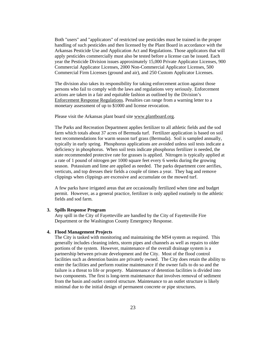Both "users" and "applicators" of restricted use pesticides must be trained in the proper handling of such pesticides and then licensed by the Plant Board in accordance with the Arkansas Pesticide Use and Application Act and Regulations. Those applicators that will apply pesticides commercially must also be tested before a license can be issued. Each year the Pesticide Division issues approximately 15,000 Private Applicator Licenses, 900 Commercial Applicator Licenses, 2000 Non-Commercial Applicator Licenses, 500 Commercial Firm Licenses (ground and air), and 250 Custom Applicator Licenses.

The division also takes its responsibility for taking enforcement action against those persons who fail to comply with the laws and regulations very seriously. Enforcement actions are taken in a fair and equitable fashion as outlined by the Division's Enforcement Response Regulations. Penalties can range from a warning letter to a monetary assessment of up to \$1000 and license revocation.

Please visit the Arkansas plant board site www.plantboard.org.

The Parks and Recreation Department applies fertilizer to all athletic fields and the sod farm which totals about 37 acres of Bermuda turf. Fertilizer application is based on soil test recommendations for warm season turf grass (Bermuda). Soil is sampled annually, typically in early spring. Phosphorus applications are avoided unless soil tests indicate a deficiency in phosphorus. When soil tests indicate phosphorus fertilizer is needed, the state recommended protective rate for grasses is applied. Nitrogen is typically applied at a rate of 1 pound of nitrogen per 1000 square feet every 6 weeks during the growing season. Potassium and lime are applied as needed. The parks department core aerifies, verticuts, and top dresses their fields a couple of times a year. They bag and remove clippings when clippings are excessive and accumulate on the mowed turf.

A few parks have irrigated areas that are occasionally fertilized when time and budget permit. However, as a general practice, fertilizer is only applied routinely to the athletic fields and sod farm.

#### **3. Spills Response Program**

Any spill in the City of Fayetteville are handled by the City of Fayetteville Fire Department or the Washington County Emergency Response.

## **4. Flood Management Projects**

The City is tasked with monitoring and maintaining the MS4 system as required. This generally includes cleaning inlets, storm pipes and channels as well as repairs to older portions of the system. However, maintenance of the overall drainage system is a partnership between private development and the City. Most of the flood control facilities such as detention basins are privately owned. The City does retain the ability to enter the facilities and perform routine maintenance if the owner fails to do so and the failure is a threat to life or property. Maintenance of detention facilities is divided into two components. The first is long-term maintenance that involves removal of sediment from the basin and outlet control structure. Maintenance to an outlet structure is likely minimal due to the initial design of permanent concrete or pipe structures.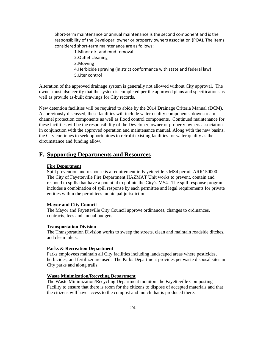Short‐term maintenance or annual maintenance is the second component and is the responsibility of the Developer, owner or property owners association (POA). The items considered short‐term maintenance are as follows:

- 1.Minor dirt and mud removal.
- 2.Outlet cleaning
- 3.Mowing
- 4.Herbicide spraying (in strict conformance with state and federal law) 5.Liter control

Alteration of the approved drainage system is generally not allowed without City approval. The owner must also certify that the system is completed per the approved plans and specifications as well as provide as-built drawings for City records.

New detention facilities will be required to abide by the 2014 Drainage Criteria Manual (DCM). As previously discussed, these facilities will include water quality components, downstream channel protection components as well as flood control components. Continued maintenance for these facilities will be the responsibility of the Developer, owner or property owners association in conjunction with the approved operation and maintenance manual. Along with the new basins, the City continues to seek opportunities to retrofit existing facilities for water quality as the circumstance and funding allow.

# **F. Supporting Departments and Resources**

#### **Fire Department**

Spill prevention and response is a requirement in Fayetteville's MS4 permit ARR150000. The City of Fayetteville Fire Department HAZMAT Unit works to prevent, contain and respond to spills that have a potential to pollute the City's MS4. The spill response program includes a combination of spill response by each permittee and legal requirements for private entities within the permittees municipal jurisdiction.

### **Mayor and City Council**

The Mayor and Fayetteville City Council approve ordinances, changes to ordinances, contracts, fees and annual budgets.

#### **Transportation Division**

The Transportation Division works to sweep the streets, clean and maintain roadside ditches, and clean inlets.

#### **Parks & Recreation Department**

Parks employees maintain all City facilities including landscaped areas where pesticides, herbicides, and fertilizer are used. The Parks Department provides pet waste disposal sites in City parks and along trails.

## **Waste Minimization/Recycling Department**

The Waste Minimization/Recycling Department monitors the Fayetteville Composting Facility to ensure that there is room for the citizens to dispose of accepted materials and that the citizens will have access to the compost and mulch that is produced there.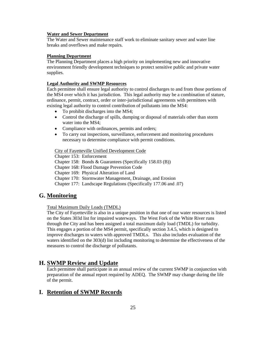#### **Water and Sewer Department**

The Water and Sewer maintenance staff work to eliminate sanitary sewer and water line breaks and overflows and make repairs.

#### **Planning Department**

The Planning Department places a high priority on implementing new and innovative environment friendly development techniques to protect sensitive public and private water supplies.

## **Legal Authority and SWMP Resources**

Each permittee shall ensure legal authority to control discharges to and from those portions of the MS4 over which it has jurisdiction. This legal authority may be a combination of stature, ordinance, permit, contract, order or inter-jurisdictional agreements with permittees with existing legal authority to control contribution of pollutants into the MS4:

- To prohibit discharges into the MS4;
- Control the discharge of spills, dumping or disposal of materials other than storm water into the MS4;
- Compliance with ordinances, permits and orders;
- To carry out inspections, surveillance, enforcement and monitoring procedures necessary to determine compliance with permit conditions.

## City of Fayetteville Unified Development Code

Chapter 153: Enforcement Chapter 158: Bonds & Guarantees (Specifically 158.03 (B)) Chapter 168: Flood Damage Prevention Code Chapter 169: Physical Alteration of Land Chapter 170: Stormwater Management, Drainage, and Erosion Chapter 177: Landscape Regulations (Specifically 177.06 and .07)

# **G. Monitoring**

## Total Maximum Daily Loads (TMDL)

The City of Fayetteville is also in a unique position in that one of our water resources is listed on the States 303d list for impaired waterways. The West Fork of the White River runs through the City and has been assigned a total maximum daily load (TMDL) for turbidity. This engages a portion of the MS4 permit, specifically section 3.4.5, which is designed to improve discharges to waters with approved TMDLs. This also includes evaluation of the waters identified on the 303(d) list including monitoring to determine the effectiveness of the measures to control the discharge of pollutants.

# **H. SWMP Review and Update**

Each permittee shall participate in an annual review of the current SWMP in conjunction with preparation of the annual report required by ADEQ. The SWMP may change during the life of the permit.

# **I. Retention of SWMP Records**